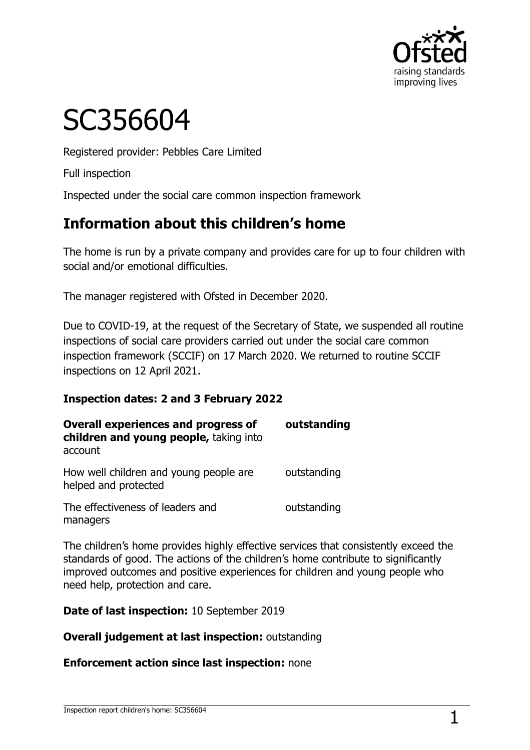

# SC356604

Registered provider: Pebbles Care Limited

Full inspection

Inspected under the social care common inspection framework

# **Information about this children's home**

The home is run by a private company and provides care for up to four children with social and/or emotional difficulties.

The manager registered with Ofsted in December 2020.

Due to COVID-19, at the request of the Secretary of State, we suspended all routine inspections of social care providers carried out under the social care common inspection framework (SCCIF) on 17 March 2020. We returned to routine SCCIF inspections on 12 April 2021.

#### **Inspection dates: 2 and 3 February 2022**

| <b>Overall experiences and progress of</b><br>children and young people, taking into<br>account | outstanding |
|-------------------------------------------------------------------------------------------------|-------------|
| How well children and young people are<br>helped and protected                                  | outstanding |
| The effectiveness of leaders and<br>managers                                                    | outstanding |

The children's home provides highly effective services that consistently exceed the standards of good. The actions of the children's home contribute to significantly improved outcomes and positive experiences for children and young people who need help, protection and care.

**Date of last inspection:** 10 September 2019

**Overall judgement at last inspection:** outstanding

**Enforcement action since last inspection:** none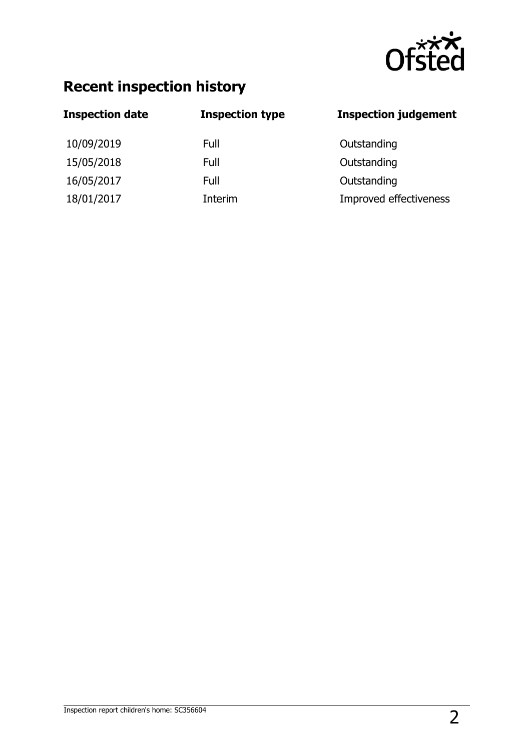

# **Recent inspection history**

| <b>Inspection date</b> | <b>Inspection type</b> | <b>Inspection judgement</b> |
|------------------------|------------------------|-----------------------------|
| 10/09/2019             | Full                   | Outstanding                 |
| 15/05/2018             | Full                   | Outstanding                 |
| 16/05/2017             | Full                   | Outstanding                 |
| 18/01/2017             | Interim                | Improved effectiveness      |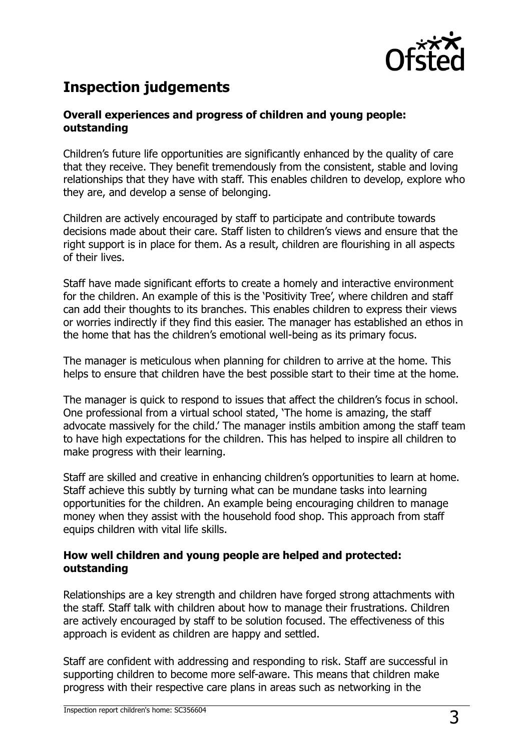

# **Inspection judgements**

#### **Overall experiences and progress of children and young people: outstanding**

Children's future life opportunities are significantly enhanced by the quality of care that they receive. They benefit tremendously from the consistent, stable and loving relationships that they have with staff. This enables children to develop, explore who they are, and develop a sense of belonging.

Children are actively encouraged by staff to participate and contribute towards decisions made about their care. Staff listen to children's views and ensure that the right support is in place for them. As a result, children are flourishing in all aspects of their lives.

Staff have made significant efforts to create a homely and interactive environment for the children. An example of this is the 'Positivity Tree', where children and staff can add their thoughts to its branches. This enables children to express their views or worries indirectly if they find this easier. The manager has established an ethos in the home that has the children's emotional well-being as its primary focus.

The manager is meticulous when planning for children to arrive at the home. This helps to ensure that children have the best possible start to their time at the home.

The manager is quick to respond to issues that affect the children's focus in school. One professional from a virtual school stated, 'The home is amazing, the staff advocate massively for the child.' The manager instils ambition among the staff team to have high expectations for the children. This has helped to inspire all children to make progress with their learning.

Staff are skilled and creative in enhancing children's opportunities to learn at home. Staff achieve this subtly by turning what can be mundane tasks into learning opportunities for the children. An example being encouraging children to manage money when they assist with the household food shop. This approach from staff equips children with vital life skills.

#### **How well children and young people are helped and protected: outstanding**

Relationships are a key strength and children have forged strong attachments with the staff. Staff talk with children about how to manage their frustrations. Children are actively encouraged by staff to be solution focused. The effectiveness of this approach is evident as children are happy and settled.

Staff are confident with addressing and responding to risk. Staff are successful in supporting children to become more self-aware. This means that children make progress with their respective care plans in areas such as networking in the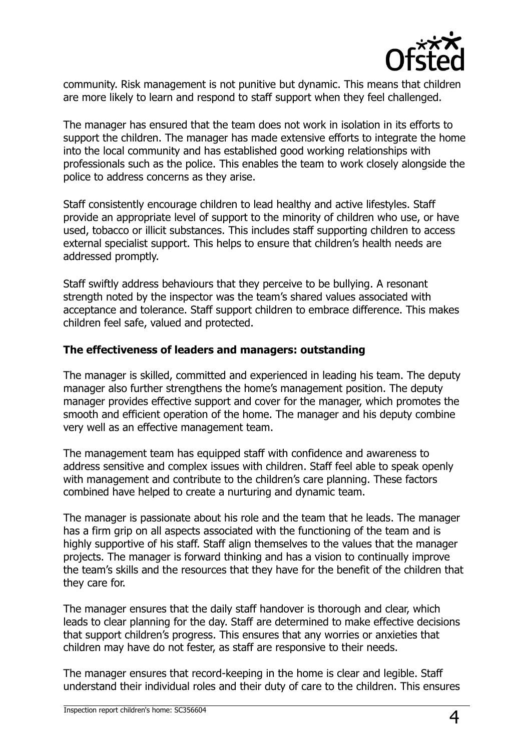

community. Risk management is not punitive but dynamic. This means that children are more likely to learn and respond to staff support when they feel challenged.

The manager has ensured that the team does not work in isolation in its efforts to support the children. The manager has made extensive efforts to integrate the home into the local community and has established good working relationships with professionals such as the police. This enables the team to work closely alongside the police to address concerns as they arise.

Staff consistently encourage children to lead healthy and active lifestyles. Staff provide an appropriate level of support to the minority of children who use, or have used, tobacco or illicit substances. This includes staff supporting children to access external specialist support. This helps to ensure that children's health needs are addressed promptly.

Staff swiftly address behaviours that they perceive to be bullying. A resonant strength noted by the inspector was the team's shared values associated with acceptance and tolerance. Staff support children to embrace difference. This makes children feel safe, valued and protected.

#### **The effectiveness of leaders and managers: outstanding**

The manager is skilled, committed and experienced in leading his team. The deputy manager also further strengthens the home's management position. The deputy manager provides effective support and cover for the manager, which promotes the smooth and efficient operation of the home. The manager and his deputy combine very well as an effective management team.

The management team has equipped staff with confidence and awareness to address sensitive and complex issues with children. Staff feel able to speak openly with management and contribute to the children's care planning. These factors combined have helped to create a nurturing and dynamic team.

The manager is passionate about his role and the team that he leads. The manager has a firm grip on all aspects associated with the functioning of the team and is highly supportive of his staff. Staff align themselves to the values that the manager projects. The manager is forward thinking and has a vision to continually improve the team's skills and the resources that they have for the benefit of the children that they care for.

The manager ensures that the daily staff handover is thorough and clear, which leads to clear planning for the day. Staff are determined to make effective decisions that support children's progress. This ensures that any worries or anxieties that children may have do not fester, as staff are responsive to their needs.

The manager ensures that record-keeping in the home is clear and legible. Staff understand their individual roles and their duty of care to the children. This ensures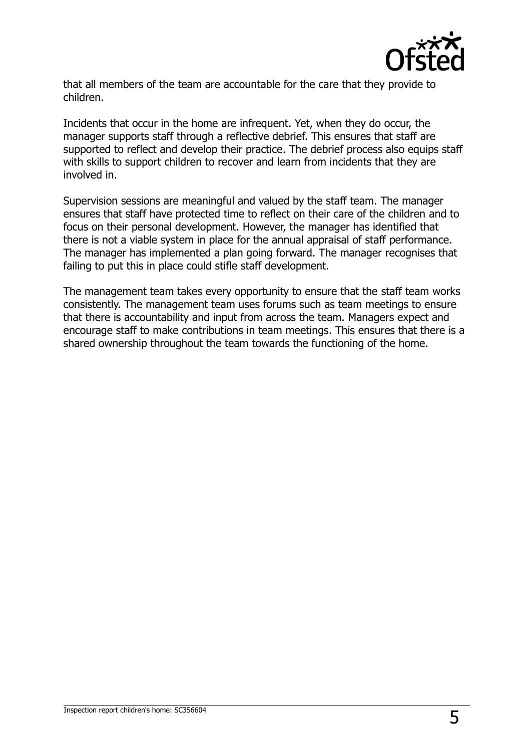

that all members of the team are accountable for the care that they provide to children.

Incidents that occur in the home are infrequent. Yet, when they do occur, the manager supports staff through a reflective debrief. This ensures that staff are supported to reflect and develop their practice. The debrief process also equips staff with skills to support children to recover and learn from incidents that they are involved in.

Supervision sessions are meaningful and valued by the staff team. The manager ensures that staff have protected time to reflect on their care of the children and to focus on their personal development. However, the manager has identified that there is not a viable system in place for the annual appraisal of staff performance. The manager has implemented a plan going forward. The manager recognises that failing to put this in place could stifle staff development.

The management team takes every opportunity to ensure that the staff team works consistently. The management team uses forums such as team meetings to ensure that there is accountability and input from across the team. Managers expect and encourage staff to make contributions in team meetings. This ensures that there is a shared ownership throughout the team towards the functioning of the home.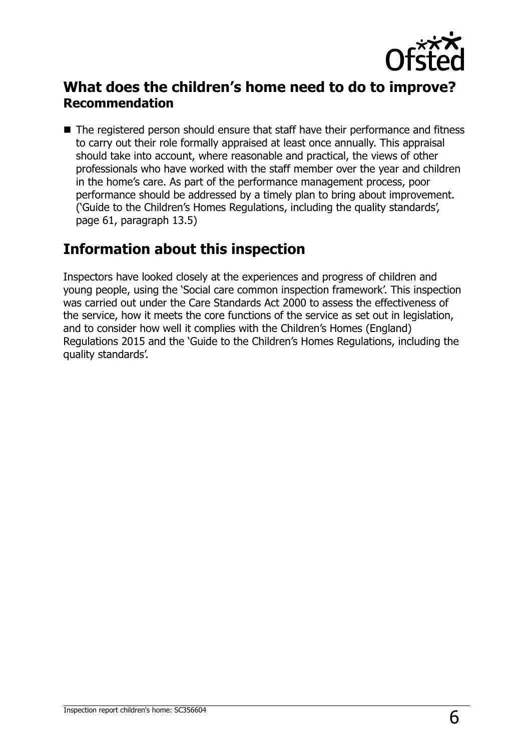

## **What does the children's home need to do to improve? Recommendation**

■ The registered person should ensure that staff have their performance and fitness to carry out their role formally appraised at least once annually. This appraisal should take into account, where reasonable and practical, the views of other professionals who have worked with the staff member over the year and children in the home's care. As part of the performance management process, poor performance should be addressed by a timely plan to bring about improvement. ('Guide to the Children's Homes Regulations, including the quality standards', page 61, paragraph 13.5)

## **Information about this inspection**

Inspectors have looked closely at the experiences and progress of children and young people, using the 'Social care common inspection framework'. This inspection was carried out under the Care Standards Act 2000 to assess the effectiveness of the service, how it meets the core functions of the service as set out in legislation, and to consider how well it complies with the Children's Homes (England) Regulations 2015 and the 'Guide to the Children's Homes Regulations, including the quality standards'.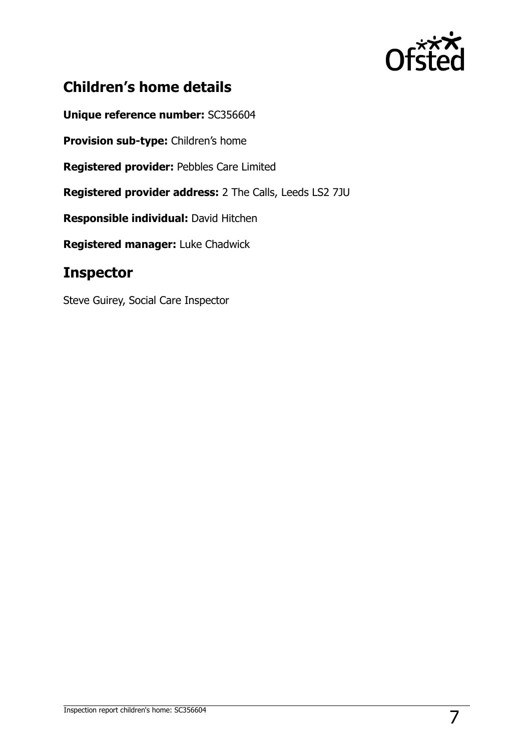

# **Children's home details**

**Unique reference number:** SC356604

**Provision sub-type:** Children's home

**Registered provider:** Pebbles Care Limited

**Registered provider address:** 2 The Calls, Leeds LS2 7JU

**Responsible individual:** David Hitchen

**Registered manager:** Luke Chadwick

## **Inspector**

Steve Guirey, Social Care Inspector